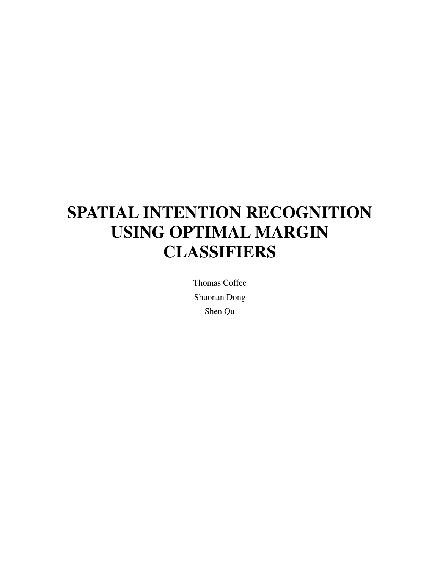# **SPATIAL INTENTION RECOGNITION USING OPTIMAL MARGIN CLASSIFIERS**

Thomas Coffee Shuonan Dong Shen Qu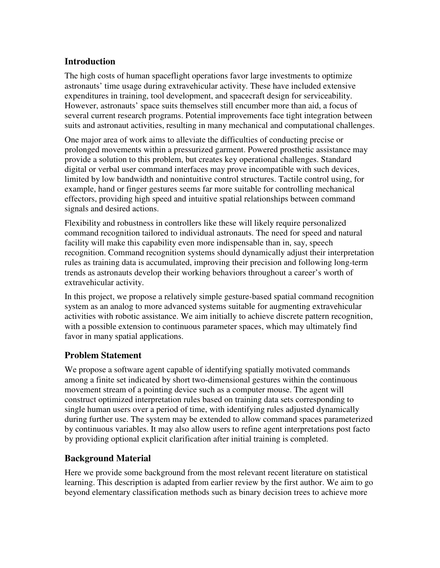#### **Introduction**

The high costs of human spaceflight operations favor large investments to optimize astronauts' time usage during extravehicular activity. These have included extensive expenditures in training, tool development, and spacecraft design for serviceability. However, astronauts' space suits themselves still encumber more than aid, a focus of several current research programs. Potential improvements face tight integration between suits and astronaut activities, resulting in many mechanical and computational challenges.

One major area of work aims to alleviate the difficulties of conducting precise or prolonged movements within a pressurized garment. Powered prosthetic assistance may provide a solution to this problem, but creates key operational challenges. Standard digital or verbal user command interfaces may prove incompatible with such devices, limited by low bandwidth and nonintuitive control structures. Tactile control using, for example, hand or finger gestures seems far more suitable for controlling mechanical effectors, providing high speed and intuitive spatial relationships between command signals and desired actions.

Flexibility and robustness in controllers like these will likely require personalized command recognition tailored to individual astronauts. The need for speed and natural facility will make this capability even more indispensable than in, say, speech recognition. Command recognition systems should dynamically adjust their interpretation rules as training data is accumulated, improving their precision and following long-term trends as astronauts develop their working behaviors throughout a career's worth of extravehicular activity.

In this project, we propose a relatively simple gesture-based spatial command recognition system as an analog to more advanced systems suitable for augmenting extravehicular activities with robotic assistance. We aim initially to achieve discrete pattern recognition, with a possible extension to continuous parameter spaces, which may ultimately find favor in many spatial applications.

#### **Problem Statement**

We propose a software agent capable of identifying spatially motivated commands among a finite set indicated by short two-dimensional gestures within the continuous movement stream of a pointing device such as a computer mouse. The agent will construct optimized interpretation rules based on training data sets corresponding to single human users over a period of time, with identifying rules adjusted dynamically during further use. The system may be extended to allow command spaces parameterized by continuous variables. It may also allow users to refine agent interpretations post facto by providing optional explicit clarification after initial training is completed.

### **Background Material**

Here we provide some background from the most relevant recent literature on statistical learning. This description is adapted from earlier review by the first author. We aim to go beyond elementary classification methods such as binary decision trees to achieve more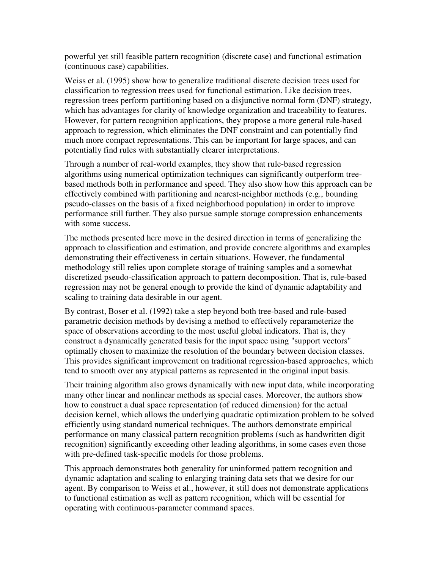powerful yet still feasible pattern recognition (discrete case) and functional estimation (continuous case) capabilities.

Weiss et al. (1995) show how to generalize traditional discrete decision trees used for classification to regression trees used for functional estimation. Like decision trees, regression trees perform partitioning based on a disjunctive normal form (DNF) strategy, which has advantages for clarity of knowledge organization and traceability to features. However, for pattern recognition applications, they propose a more general rule-based approach to regression, which eliminates the DNF constraint and can potentially find much more compact representations. This can be important for large spaces, and can potentially find rules with substantially clearer interpretations.

Through a number of real-world examples, they show that rule-based regression algorithms using numerical optimization techniques can significantly outperform treebased methods both in performance and speed. They also show how this approach can be effectively combined with partitioning and nearest-neighbor methods (e.g., bounding pseudo-classes on the basis of a fixed neighborhood population) in order to improve performance still further. They also pursue sample storage compression enhancements with some success.

The methods presented here move in the desired direction in terms of generalizing the approach to classification and estimation, and provide concrete algorithms and examples demonstrating their effectiveness in certain situations. However, the fundamental methodology still relies upon complete storage of training samples and a somewhat discretized pseudo-classification approach to pattern decomposition. That is, rule-based regression may not be general enough to provide the kind of dynamic adaptability and scaling to training data desirable in our agent.

By contrast, Boser et al. (1992) take a step beyond both tree-based and rule-based parametric decision methods by devising a method to effectively reparameterize the space of observations according to the most useful global indicators. That is, they construct a dynamically generated basis for the input space using "support vectors" optimally chosen to maximize the resolution of the boundary between decision classes. This provides significant improvement on traditional regression-based approaches, which tend to smooth over any atypical patterns as represented in the original input basis.

Their training algorithm also grows dynamically with new input data, while incorporating many other linear and nonlinear methods as special cases. Moreover, the authors show how to construct a dual space representation (of reduced dimension) for the actual decision kernel, which allows the underlying quadratic optimization problem to be solved efficiently using standard numerical techniques. The authors demonstrate empirical performance on many classical pattern recognition problems (such as handwritten digit recognition) significantly exceeding other leading algorithms, in some cases even those with pre-defined task-specific models for those problems.

This approach demonstrates both generality for uninformed pattern recognition and dynamic adaptation and scaling to enlarging training data sets that we desire for our agent. By comparison to Weiss et al., however, it still does not demonstrate applications to functional estimation as well as pattern recognition, which will be essential for operating with continuous-parameter command spaces.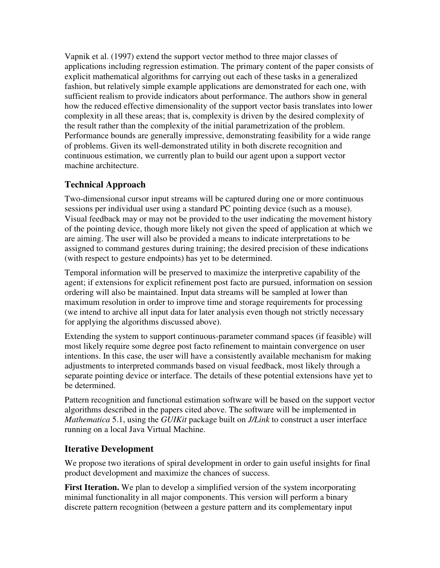Vapnik et al. (1997) extend the support vector method to three major classes of applications including regression estimation. The primary content of the paper consists of explicit mathematical algorithms for carrying out each of these tasks in a generalized fashion, but relatively simple example applications are demonstrated for each one, with sufficient realism to provide indicators about performance. The authors show in general how the reduced effective dimensionality of the support vector basis translates into lower complexity in all these areas; that is, complexity is driven by the desired complexity of the result rather than the complexity of the initial parametrization of the problem. Performance bounds are generally impressive, demonstrating feasibility for a wide range of problems. Given its well-demonstrated utility in both discrete recognition and continuous estimation, we currently plan to build our agent upon a support vector machine architecture.

## **Technical Approach**

Two-dimensional cursor input streams will be captured during one or more continuous sessions per individual user using a standard PC pointing device (such as a mouse). Visual feedback may or may not be provided to the user indicating the movement history of the pointing device, though more likely not given the speed of application at which we are aiming. The user will also be provided a means to indicate interpretations to be assigned to command gestures during training; the desired precision of these indications (with respect to gesture endpoints) has yet to be determined.

Temporal information will be preserved to maximize the interpretive capability of the agent; if extensions for explicit refinement post facto are pursued, information on session ordering will also be maintained. Input data streams will be sampled at lower than maximum resolution in order to improve time and storage requirements for processing (we intend to archive all input data for later analysis even though not strictly necessary for applying the algorithms discussed above).

Extending the system to support continuous-parameter command spaces (if feasible) will most likely require some degree post facto refinement to maintain convergence on user intentions. In this case, the user will have a consistently available mechanism for making adjustments to interpreted commands based on visual feedback, most likely through a separate pointing device or interface. The details of these potential extensions have yet to be determined.

Pattern recognition and functional estimation software will be based on the support vector algorithms described in the papers cited above. The software will be implemented in *Mathematica* 5.1, using the *GUIKit* package built on *J/Link* to construct a user interface running on a local Java Virtual Machine.

### **Iterative Development**

We propose two iterations of spiral development in order to gain useful insights for final product development and maximize the chances of success.

**First Iteration.** We plan to develop a simplified version of the system incorporating minimal functionality in all major components. This version will perform a binary discrete pattern recognition (between a gesture pattern and its complementary input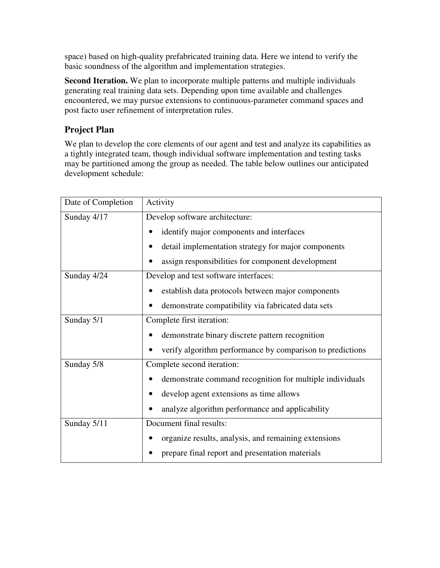space) based on high-quality prefabricated training data. Here we intend to verify the basic soundness of the algorithm and implementation strategies.

**Second Iteration.** We plan to incorporate multiple patterns and multiple individuals generating real training data sets. Depending upon time available and challenges encountered, we may pursue extensions to continuous-parameter command spaces and post facto user refinement of interpretation rules.

# **Project Plan**

We plan to develop the core elements of our agent and test and analyze its capabilities as a tightly integrated team, though individual software implementation and testing tasks may be partitioned among the group as needed. The table below outlines our anticipated development schedule:

| Date of Completion | Activity                                                  |
|--------------------|-----------------------------------------------------------|
| Sunday 4/17        | Develop software architecture:                            |
|                    | identify major components and interfaces                  |
|                    | detail implementation strategy for major components       |
|                    | assign responsibilities for component development         |
| Sunday 4/24        | Develop and test software interfaces:                     |
|                    | establish data protocols between major components         |
|                    | demonstrate compatibility via fabricated data sets        |
| Sunday 5/1         | Complete first iteration:                                 |
|                    | demonstrate binary discrete pattern recognition           |
|                    | verify algorithm performance by comparison to predictions |
| Sunday 5/8         | Complete second iteration:                                |
|                    | demonstrate command recognition for multiple individuals  |
|                    | develop agent extensions as time allows                   |
|                    | analyze algorithm performance and applicability           |
| Sunday 5/11        | Document final results:                                   |
|                    | organize results, analysis, and remaining extensions      |
|                    | prepare final report and presentation materials           |